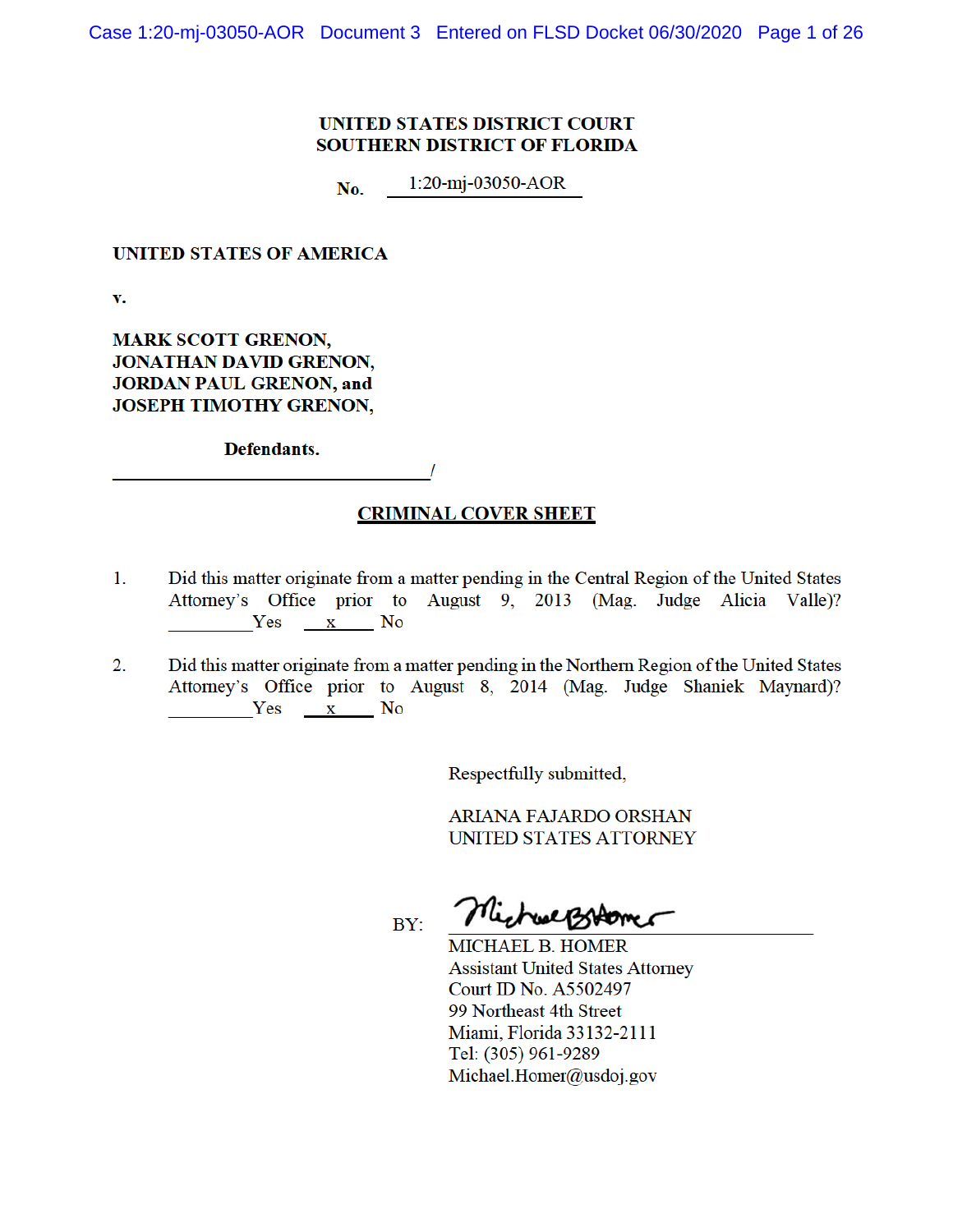# **UNITED STATES DISTRICT COURT SOUTHERN DISTRICT OF FLORIDA**

 $1:20-mj-03050-AOR$ No.

# **UNITED STATES OF AMERICA**

 $\mathbf{v}$ .

**MARK SCOTT GRENON, JONATHAN DAVID GRENON, JORDAN PAUL GRENON, and JOSEPH TIMOTHY GRENON,** 

Defendants.

# **CRIMINAL COVER SHEET**

- Did this matter originate from a matter pending in the Central Region of the United States  $1<sub>1</sub>$ Attorney's Office prior to August 9, 2013 (Mag. Judge Alicia Valle)? Yes x No
- Did this matter originate from a matter pending in the Northern Region of the United States  $2.$ Attorney's Office prior to August 8, 2014 (Mag. Judge Shaniek Maynard)? Yes x No

Respectfully submitted,

ARIANA FAJARDO ORSHAN UNITED STATES ATTORNEY

BY:

MichuelBiromer

MICHAEL B. HOMER **Assistant United States Attorney** Court ID No. A5502497 99 Northeast 4th Street Miami, Florida 33132-2111 Tel: (305) 961-9289 Michael.Homer@usdoj.gov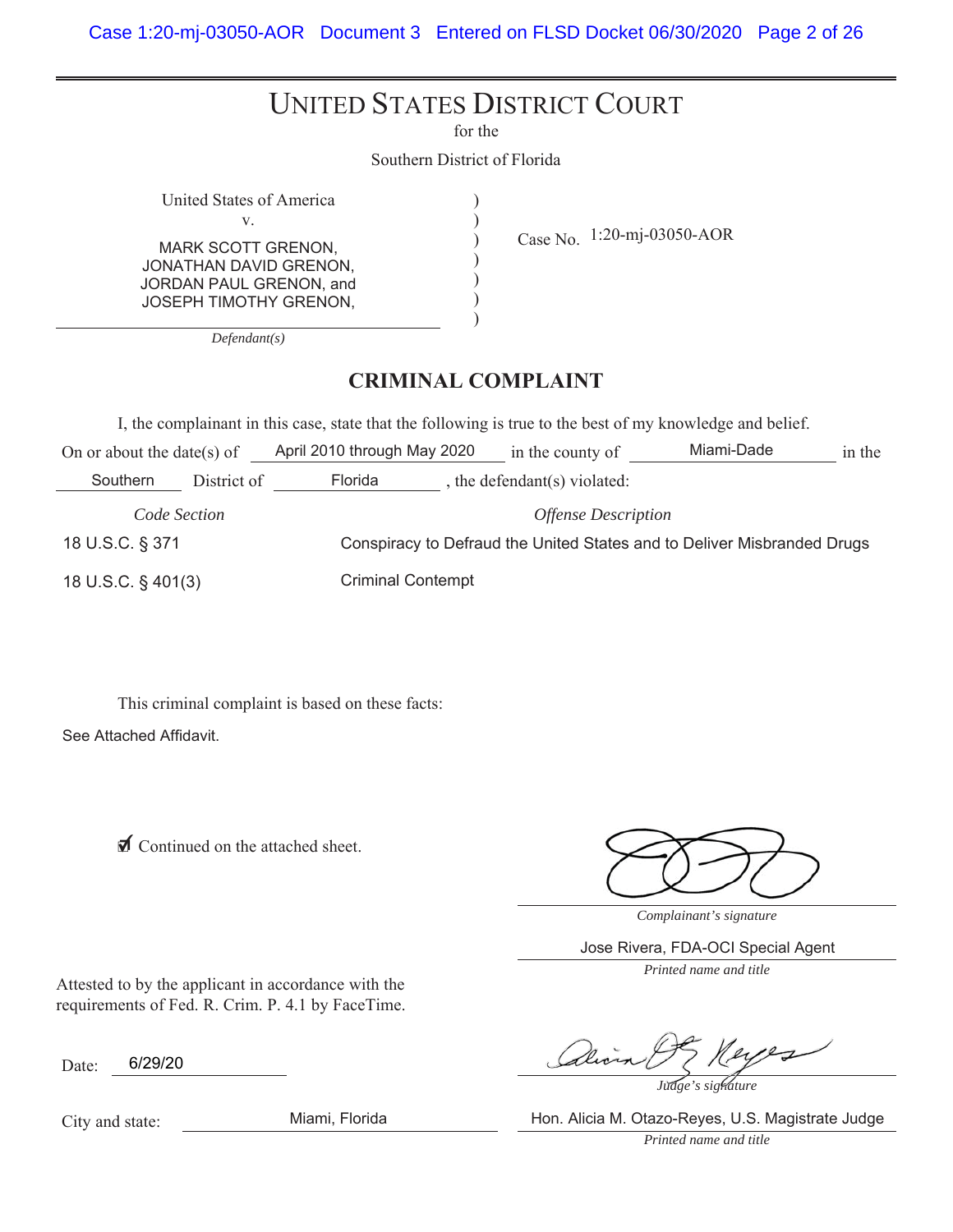# UNITED STATES DISTRICT COURT

for the

 $\mathcal{E}$  $\mathcal{L}$  $\mathcal{E}$  $\mathcal{E}$  $\mathcal{E}$  $\mathcal{E}$ 

Southern District of Florida

United States of America  $V_{\odot}$ MARK SCOTT GRENON, JONATHAN DAVID GRENON, JORDAN PAUL GRENON, and JOSEPH TIMOTHY GRENON,

Case No.  $1:20$ -mj-03050-AOR

*Defendant(s)*

# **CRIMINAL COMPLAINT**

I, the complainant in this case, state that the following is true to the best of my knowledge and belief.

| On or about the date(s) of |             | April 2010 through May 2020                                             |  | in the county of           | Miami-Dade | in the |
|----------------------------|-------------|-------------------------------------------------------------------------|--|----------------------------|------------|--------|
| Southern                   | District of | Florida                                                                 |  | the defendant(s) violated: |            |        |
| Code Section               |             | <b>Offense Description</b>                                              |  |                            |            |        |
| 18 U.S.C. § 371            |             | Conspiracy to Defraud the United States and to Deliver Misbranded Drugs |  |                            |            |        |
| 18 U.S.C. § 401(3)         |             | <b>Criminal Contempt</b>                                                |  |                            |            |        |

This criminal complaint is based on these facts:

See Attached Affidavit.

**Ø** Continued on the attached sheet.

*Complainant's signature*

Jose Rivera, FDA-OCI Special Agent

*Printed name and title*

Attested to by the applicant in accordance with the requirements of Fed. R. Crim. P. 4.1 by FaceTime.

Date: 6/29/20

*Judge's signature*

City and state:

Miami, Florida Hon. Alicia M. Otazo-Reyes, U.S. Magistrate Judge

*Printed name and title*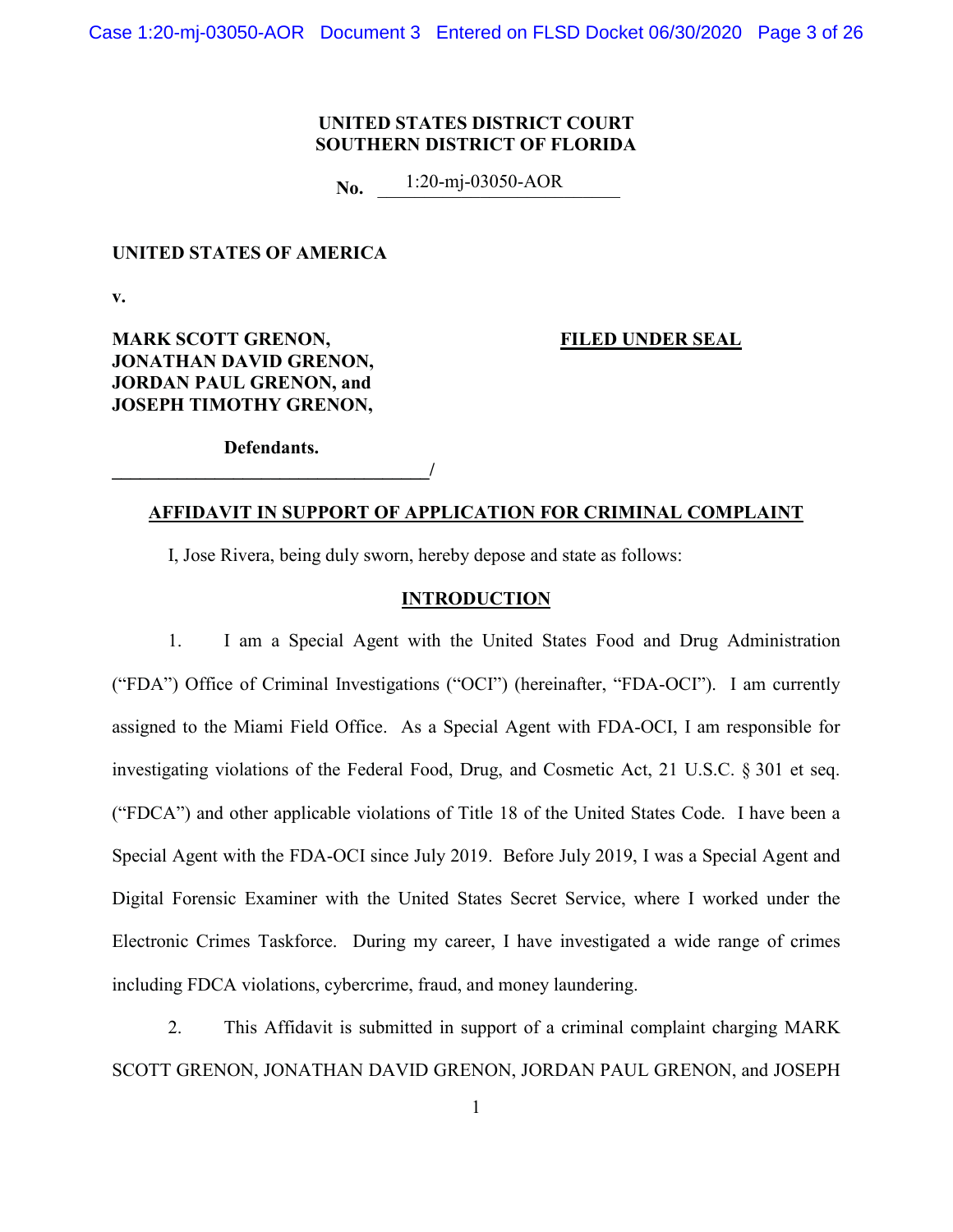# **UNITED STATES DISTRICT COURT SOUTHERN DISTRICT OF FLORIDA**

**No.** 1:20-mj-03050-AOR

#### **UNITED STATES OF AMERICA**

**v.** 

**MARK SCOTT GRENON, FILED UNDER SEAL JONATHAN DAVID GRENON, JORDAN PAUL GRENON, and JOSEPH TIMOTHY GRENON,**

**Defendants. \_\_\_\_\_\_\_\_\_\_\_\_\_\_\_\_\_\_\_\_\_\_\_\_\_\_\_\_\_\_\_\_\_\_/** 

# **AFFIDAVIT IN SUPPORT OF APPLICATION FOR CRIMINAL COMPLAINT**

I, Jose Rivera, being duly sworn, hereby depose and state as follows:

#### **INTRODUCTION**

1. I am a Special Agent with the United States Food and Drug Administration ("FDA") Office of Criminal Investigations ("OCI") (hereinafter, "FDA-OCI"). I am currently assigned to the Miami Field Office. As a Special Agent with FDA-OCI, I am responsible for investigating violations of the Federal Food, Drug, and Cosmetic Act, 21 U.S.C. § 301 et seq. ("FDCA") and other applicable violations of Title 18 of the United States Code. I have been a Special Agent with the FDA-OCI since July 2019. Before July 2019, I was a Special Agent and Digital Forensic Examiner with the United States Secret Service, where I worked under the Electronic Crimes Taskforce. During my career, I have investigated a wide range of crimes including FDCA violations, cybercrime, fraud, and money laundering.

2. This Affidavit is submitted in support of a criminal complaint charging MARK SCOTT GRENON, JONATHAN DAVID GRENON, JORDAN PAUL GRENON, and JOSEPH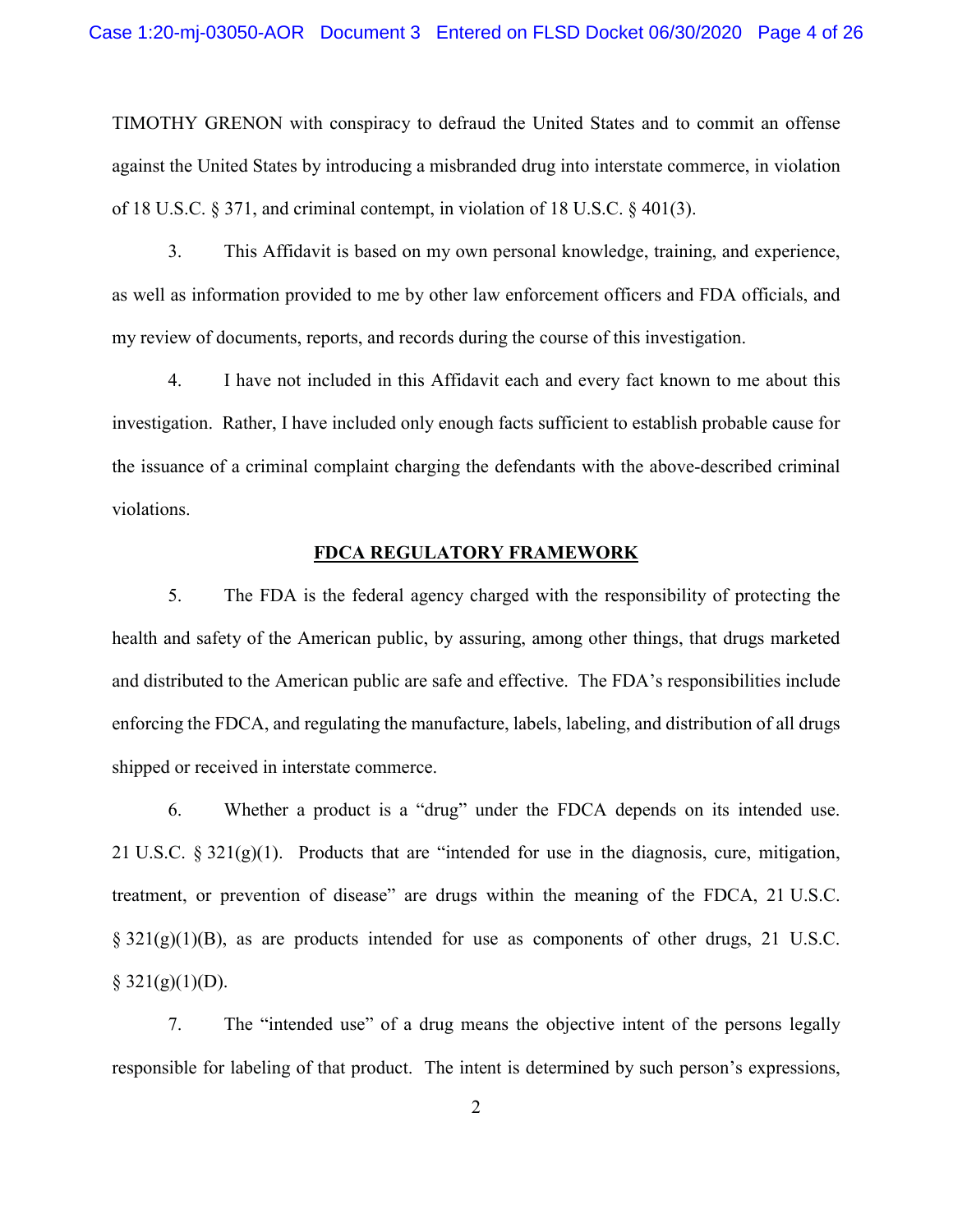TIMOTHY GRENON with conspiracy to defraud the United States and to commit an offense against the United States by introducing a misbranded drug into interstate commerce, in violation of 18 U.S.C.  $\S 371$ , and criminal contempt, in violation of 18 U.S.C.  $\S 401(3)$ .

3. This Affidavit is based on my own personal knowledge, training, and experience, as well as information provided to me by other law enforcement officers and FDA officials, and my review of documents, reports, and records during the course of this investigation.

4. I have not included in this Affidavit each and every fact known to me about this investigation. Rather, I have included only enough facts sufficient to establish probable cause for the issuance of a criminal complaint charging the defendants with the above-described criminal violations.

#### **FDCA REGULATORY FRAMEWORK**

5. The FDA is the federal agency charged with the responsibility of protecting the health and safety of the American public, by assuring, among other things, that drugs marketed and distributed to the American public are safe and effective. The FDA's responsibilities include enforcing the FDCA, and regulating the manufacture, labels, labeling, and distribution of all drugs shipped or received in interstate commerce.

6. Whether a product is a "drug" under the FDCA depends on its intended use. 21 U.S.C. § 321(g)(1). Products that are "intended for use in the diagnosis, cure, mitigation, treatment, or prevention of disease" are drugs within the meaning of the FDCA, 21 U.S.C.  $\S 321(g)(1)(B)$ , as are products intended for use as components of other drugs, 21 U.S.C.  $§$  321(g)(1)(D).

7. The "intended use" of a drug means the objective intent of the persons legally responsible for labeling of that product. The intent is determined by such person's expressions,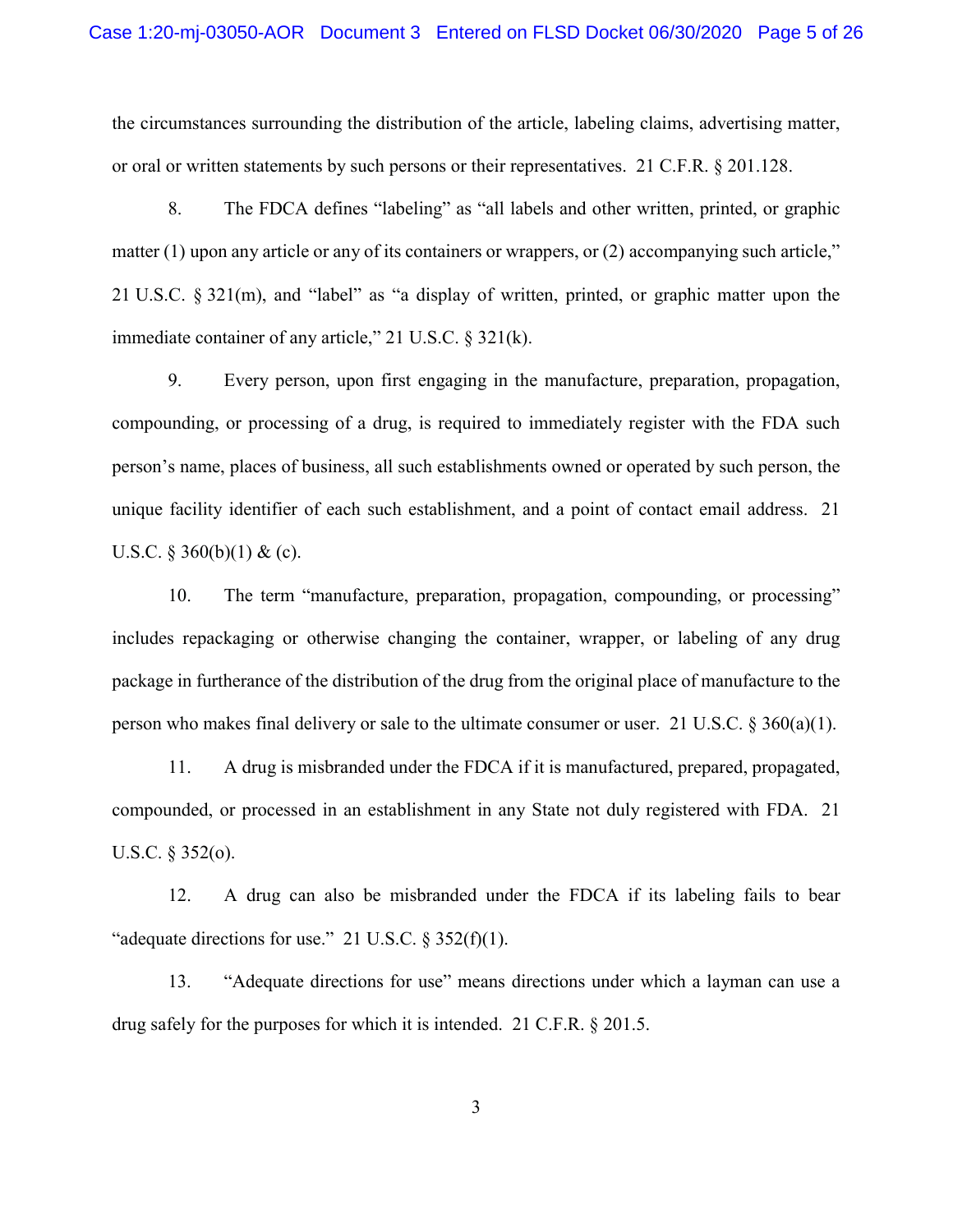the circumstances surrounding the distribution of the article, labeling claims, advertising matter, or oral or written statements by such persons or their representatives. 21 C.F.R. § 201.128.

8. The FDCA defines "labeling" as "all labels and other written, printed, or graphic matter (1) upon any article or any of its containers or wrappers, or (2) accompanying such article," 21 U.S.C. § 321(m), and "label" as "a display of written, printed, or graphic matter upon the immediate container of any article," 21 U.S.C. § 321(k).

9. Every person, upon first engaging in the manufacture, preparation, propagation, compounding, or processing of a drug, is required to immediately register with the FDA such person's name, places of business, all such establishments owned or operated by such person, the unique facility identifier of each such establishment, and a point of contact email address. 21 U.S.C.  $\S 360(b)(1) \&$  (c).

10. The term "manufacture, preparation, propagation, compounding, or processing" includes repackaging or otherwise changing the container, wrapper, or labeling of any drug package in furtherance of the distribution of the drug from the original place of manufacture to the person who makes final delivery or sale to the ultimate consumer or user. 21 U.S.C. § 360(a)(1).

11. A drug is misbranded under the FDCA if it is manufactured, prepared, propagated, compounded, or processed in an establishment in any State not duly registered with FDA. 21 U.S.C. § 352(o).

12. A drug can also be misbranded under the FDCA if its labeling fails to bear "adequate directions for use." 21 U.S.C.  $\S 352(f)(1)$ .

13. "Adequate directions for use" means directions under which a layman can use a drug safely for the purposes for which it is intended. 21 C.F.R. § 201.5.

3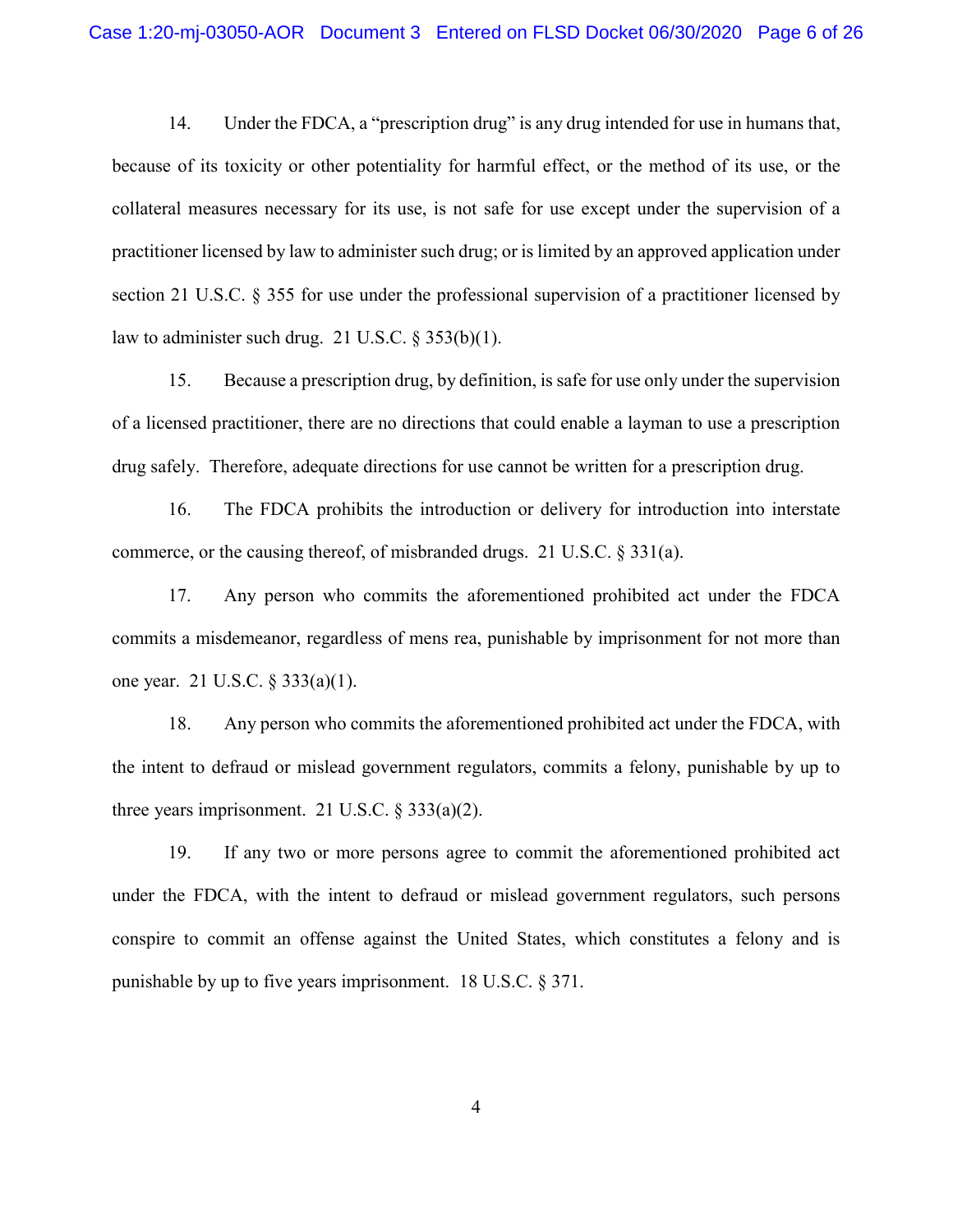14. Under the FDCA, a "prescription drug" is any drug intended for use in humans that, because of its toxicity or other potentiality for harmful effect, or the method of its use, or the collateral measures necessary for its use, is not safe for use except under the supervision of a practitioner licensed by law to administer such drug; or is limited by an approved application under section 21 U.S.C. § 355 for use under the professional supervision of a practitioner licensed by law to administer such drug. 21 U.S.C. § 353(b)(1).

15. Because a prescription drug, by definition, is safe for use only under the supervision of a licensed practitioner, there are no directions that could enable a layman to use a prescription drug safely. Therefore, adequate directions for use cannot be written for a prescription drug.

16. The FDCA prohibits the introduction or delivery for introduction into interstate commerce, or the causing thereof, of misbranded drugs. 21 U.S.C. § 331(a).

17. Any person who commits the aforementioned prohibited act under the FDCA commits a misdemeanor, regardless of mens rea, punishable by imprisonment for not more than one year. 21 U.S.C. § 333(a)(1).

18. Any person who commits the aforementioned prohibited act under the FDCA, with the intent to defraud or mislead government regulators, commits a felony, punishable by up to three years imprisonment. 21 U.S.C.  $\S 333(a)(2)$ .

19. If any two or more persons agree to commit the aforementioned prohibited act under the FDCA, with the intent to defraud or mislead government regulators, such persons conspire to commit an offense against the United States, which constitutes a felony and is punishable by up to five years imprisonment. 18 U.S.C. § 371.

4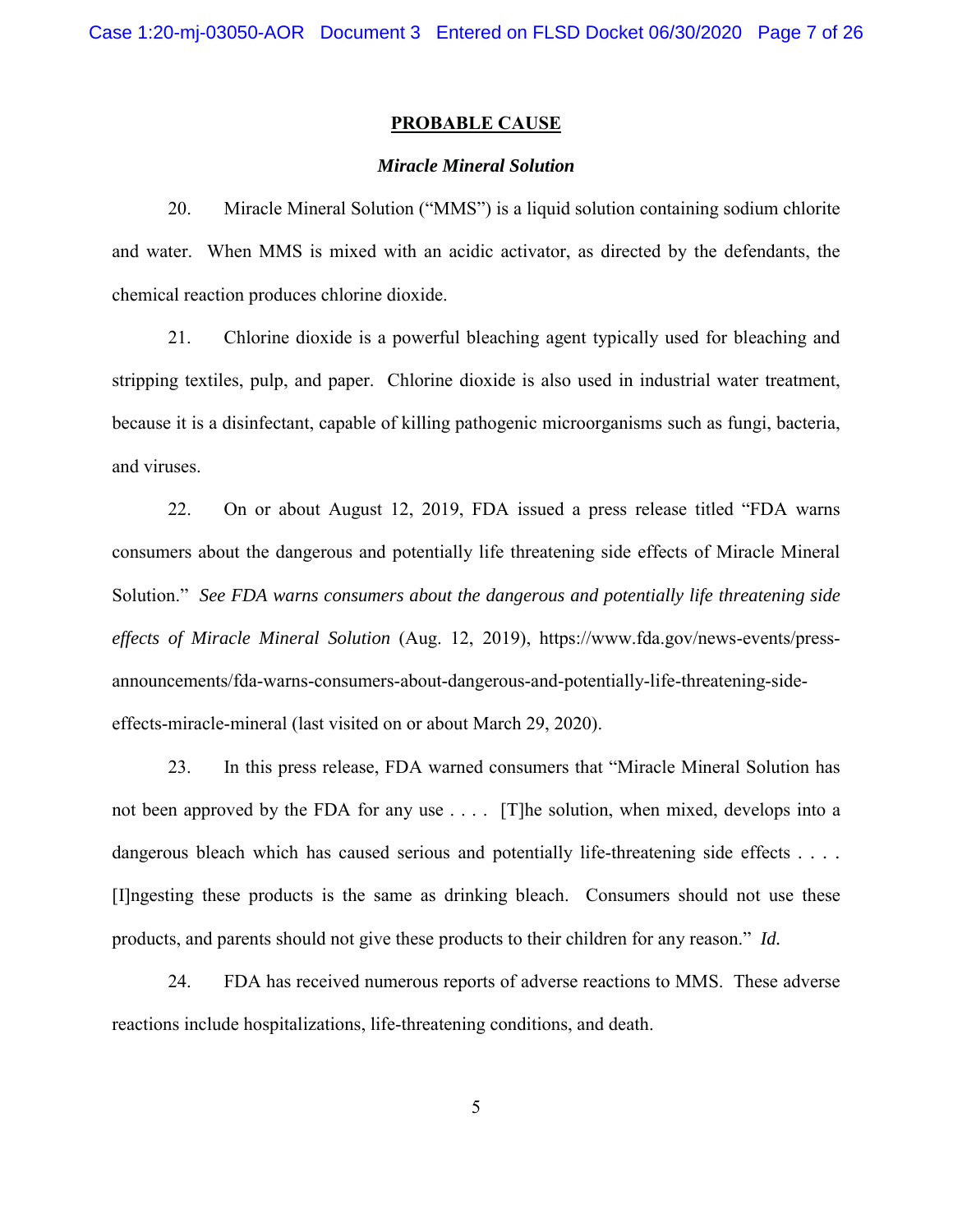#### **PROBABLE CAUSE**

#### *Miracle Mineral Solution*

20. Miracle Mineral Solution ("MMS") is a liquid solution containing sodium chlorite and water. When MMS is mixed with an acidic activator, as directed by the defendants, the chemical reaction produces chlorine dioxide.

21. Chlorine dioxide is a powerful bleaching agent typically used for bleaching and stripping textiles, pulp, and paper. Chlorine dioxide is also used in industrial water treatment, because it is a disinfectant, capable of killing pathogenic microorganisms such as fungi, bacteria, and viruses.

22. On or about August 12, 2019, FDA issued a press release titled "FDA warns consumers about the dangerous and potentially life threatening side effects of Miracle Mineral Solution." *See FDA warns consumers about the dangerous and potentially life threatening side effects of Miracle Mineral Solution* (Aug. 12, 2019), https://www.fda.gov/news-events/pressannouncements/fda-warns-consumers-about-dangerous-and-potentially-life-threatening-sideeffects-miracle-mineral (last visited on or about March 29, 2020).

23. In this press release, FDA warned consumers that "Miracle Mineral Solution has not been approved by the FDA for any use . . . . [T]he solution, when mixed, develops into a dangerous bleach which has caused serious and potentially life-threatening side effects *. . . .*  [I]ngesting these products is the same as drinking bleach. Consumers should not use these products, and parents should not give these products to their children for any reason." *Id.* 

24. FDA has received numerous reports of adverse reactions to MMS. These adverse reactions include hospitalizations, life-threatening conditions, and death.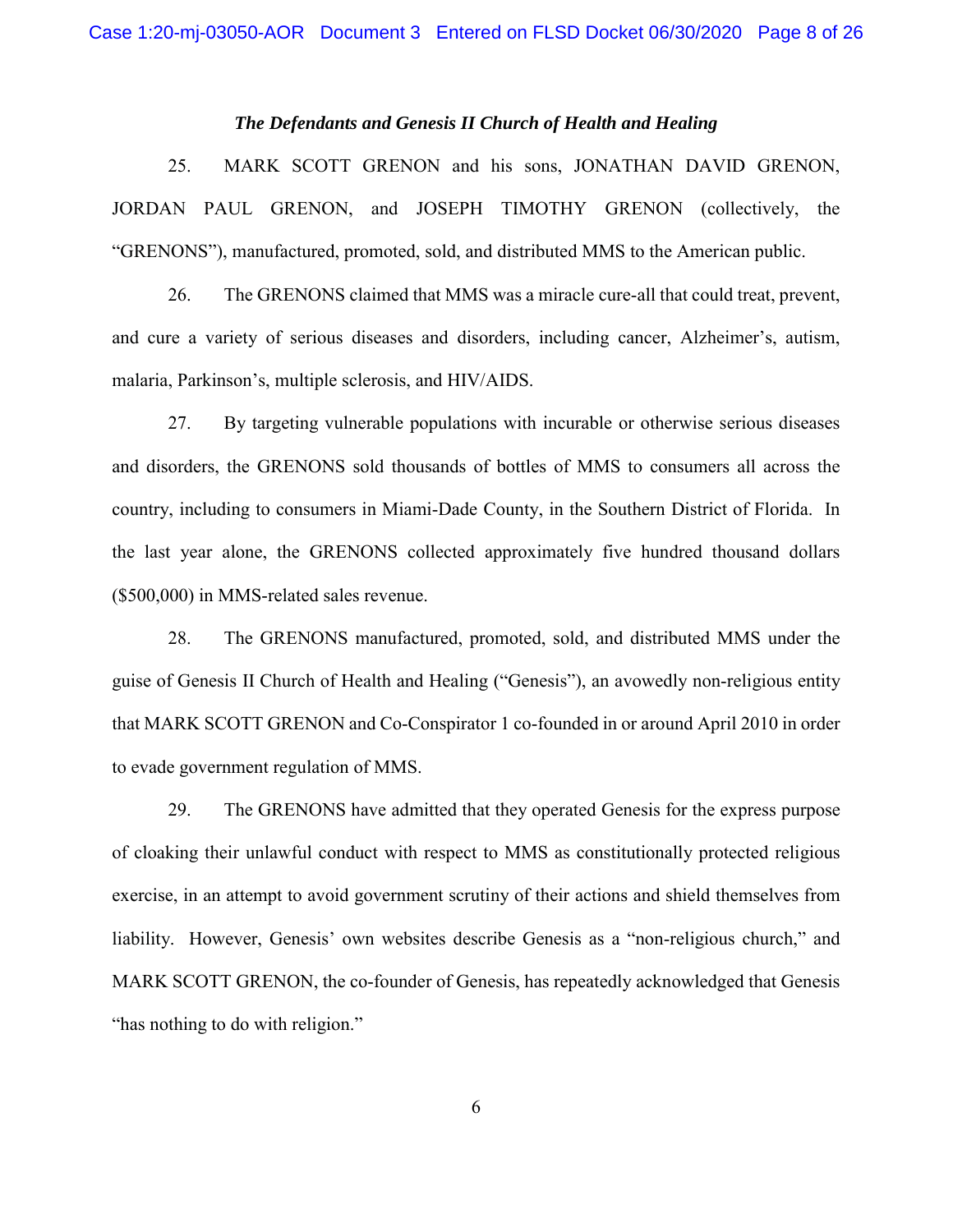# *The Defendants and Genesis II Church of Health and Healing*

25. MARK SCOTT GRENON and his sons, JONATHAN DAVID GRENON, JORDAN PAUL GRENON, and JOSEPH TIMOTHY GRENON (collectively, the "GRENONS"), manufactured, promoted, sold, and distributed MMS to the American public.

26. The GRENONS claimed that MMS was a miracle cure-all that could treat, prevent, and cure a variety of serious diseases and disorders, including cancer, Alzheimer's, autism, malaria, Parkinson's, multiple sclerosis, and HIV/AIDS.

27. By targeting vulnerable populations with incurable or otherwise serious diseases and disorders, the GRENONS sold thousands of bottles of MMS to consumers all across the country, including to consumers in Miami-Dade County, in the Southern District of Florida. In the last year alone, the GRENONS collected approximately five hundred thousand dollars (\$500,000) in MMS-related sales revenue.

28. The GRENONS manufactured, promoted, sold, and distributed MMS under the guise of Genesis II Church of Health and Healing ("Genesis"), an avowedly non-religious entity that MARK SCOTT GRENON and Co-Conspirator 1 co-founded in or around April 2010 in order to evade government regulation of MMS.

29. The GRENONS have admitted that they operated Genesis for the express purpose of cloaking their unlawful conduct with respect to MMS as constitutionally protected religious exercise, in an attempt to avoid government scrutiny of their actions and shield themselves from liability. However, Genesis' own websites describe Genesis as a "non-religious church," and MARK SCOTT GRENON, the co-founder of Genesis, has repeatedly acknowledged that Genesis "has nothing to do with religion."

6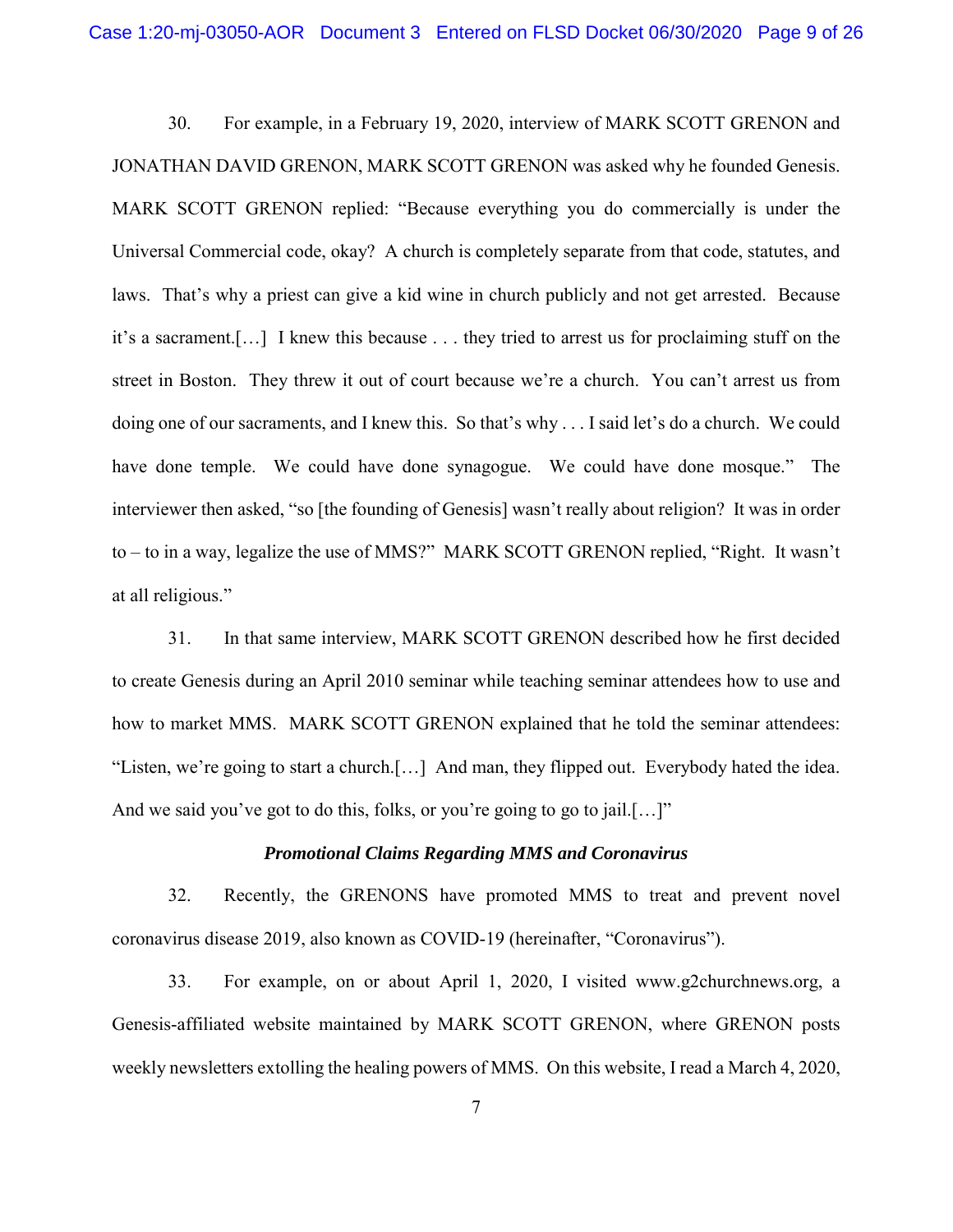30. For example, in a February 19, 2020, interview of MARK SCOTT GRENON and JONATHAN DAVID GRENON, MARK SCOTT GRENON was asked why he founded Genesis. MARK SCOTT GRENON replied: "Because everything you do commercially is under the Universal Commercial code, okay? A church is completely separate from that code, statutes, and laws. That's why a priest can give a kid wine in church publicly and not get arrested. Because it's a sacrament.[…] I knew this because . . . they tried to arrest us for proclaiming stuff on the street in Boston. They threw it out of court because we're a church. You can't arrest us from doing one of our sacraments, and I knew this. So that's why . . . I said let's do a church. We could have done temple. We could have done synagogue. We could have done mosque." The interviewer then asked, "so [the founding of Genesis] wasn't really about religion? It was in order to – to in a way, legalize the use of MMS?" MARK SCOTT GRENON replied, "Right. It wasn't at all religious."

31. In that same interview, MARK SCOTT GRENON described how he first decided to create Genesis during an April 2010 seminar while teaching seminar attendees how to use and how to market MMS. MARK SCOTT GRENON explained that he told the seminar attendees: "Listen, we're going to start a church.[…] And man, they flipped out. Everybody hated the idea. And we said you've got to do this, folks, or you're going to go to jail.[...]"

#### *Promotional Claims Regarding MMS and Coronavirus*

32. Recently, the GRENONS have promoted MMS to treat and prevent novel coronavirus disease 2019, also known as COVID-19 (hereinafter, "Coronavirus").

33. For example, on or about April 1, 2020, I visited www.g2churchnews.org, a Genesis-affiliated website maintained by MARK SCOTT GRENON, where GRENON posts weekly newsletters extolling the healing powers of MMS. On this website, I read a March 4, 2020,